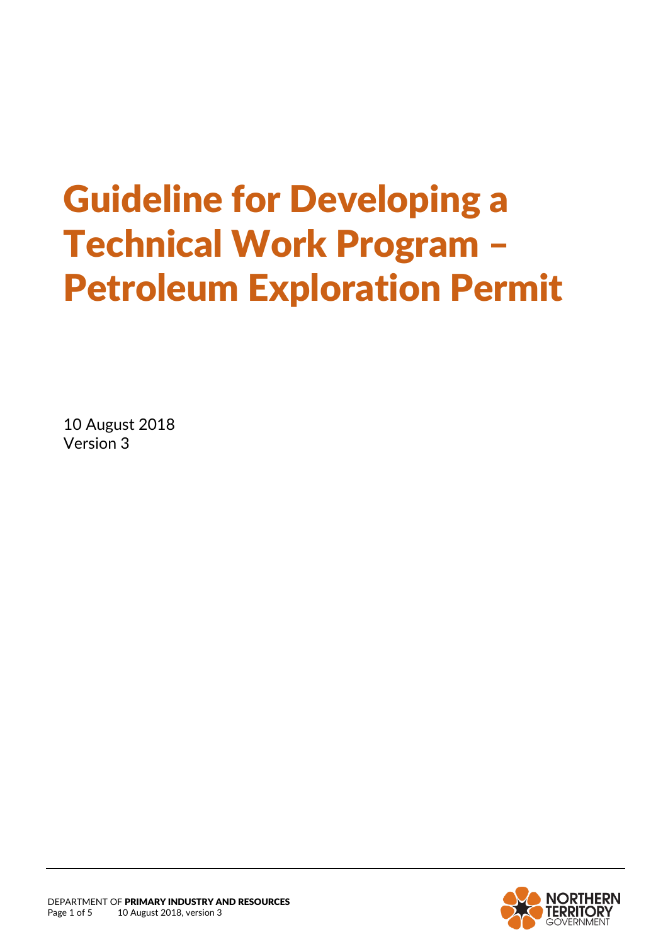# Guideline for Developing a Technical Work Program – Petroleum Exploration Permit

10 August 2018 Version 3

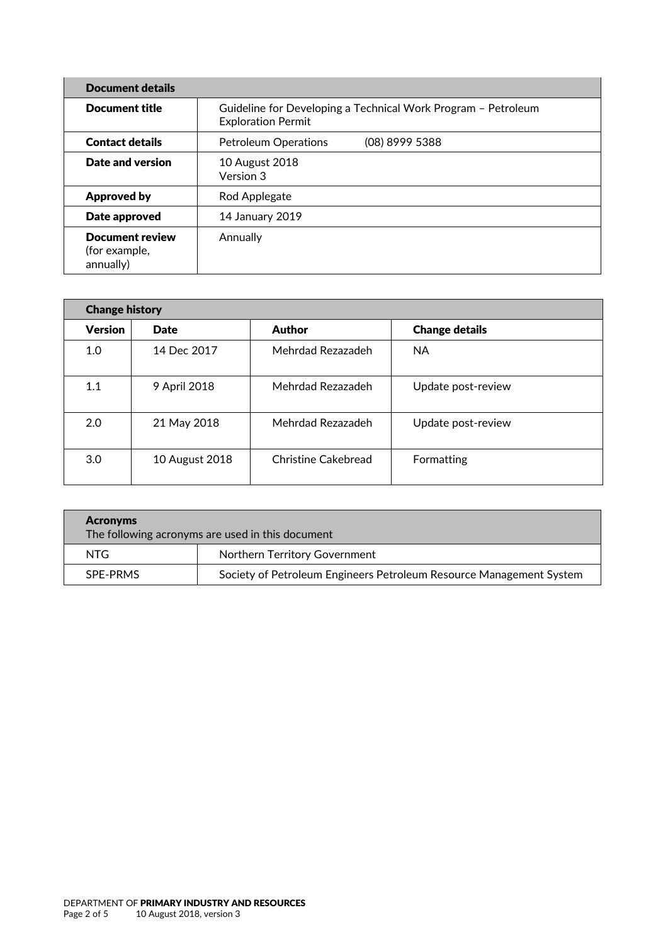| Document details                                     |                                                                                            |  |  |  |
|------------------------------------------------------|--------------------------------------------------------------------------------------------|--|--|--|
| <b>Document title</b>                                | Guideline for Developing a Technical Work Program - Petroleum<br><b>Exploration Permit</b> |  |  |  |
| <b>Contact details</b>                               | (08) 8999 5388<br><b>Petroleum Operations</b>                                              |  |  |  |
| Date and version                                     | 10 August 2018<br>Version 3                                                                |  |  |  |
| <b>Approved by</b>                                   | Rod Applegate                                                                              |  |  |  |
| Date approved                                        | 14 January 2019                                                                            |  |  |  |
| <b>Document review</b><br>(for example,<br>annually) | Annually                                                                                   |  |  |  |

| <b>Change history</b> |                |                     |                       |  |  |
|-----------------------|----------------|---------------------|-----------------------|--|--|
| <b>Version</b>        | <b>Date</b>    | Author              | <b>Change details</b> |  |  |
| 1.0                   | 14 Dec 2017    | Mehrdad Rezazadeh   | <b>NA</b>             |  |  |
| 1.1                   | 9 April 2018   | Mehrdad Rezazadeh   | Update post-review    |  |  |
| 2.0                   | 21 May 2018    | Mehrdad Rezazadeh   | Update post-review    |  |  |
| 3.0                   | 10 August 2018 | Christine Cakebread | Formatting            |  |  |

| <b>Acronyms</b><br>The following acronyms are used in this document |                                                                     |  |  |
|---------------------------------------------------------------------|---------------------------------------------------------------------|--|--|
| NTG.                                                                | Northern Territory Government                                       |  |  |
| SPE-PRMS                                                            | Society of Petroleum Engineers Petroleum Resource Management System |  |  |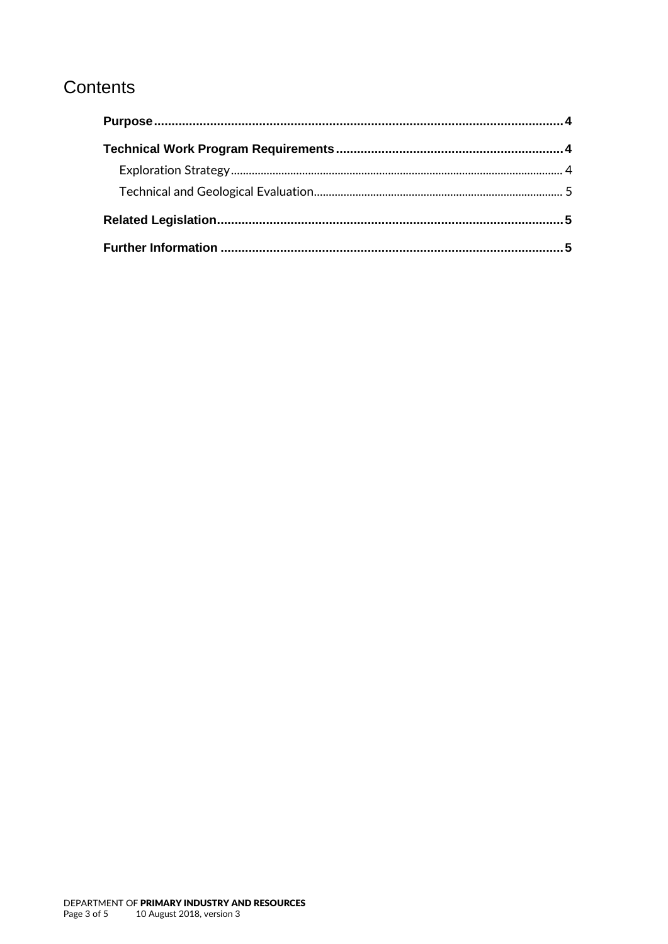## Contents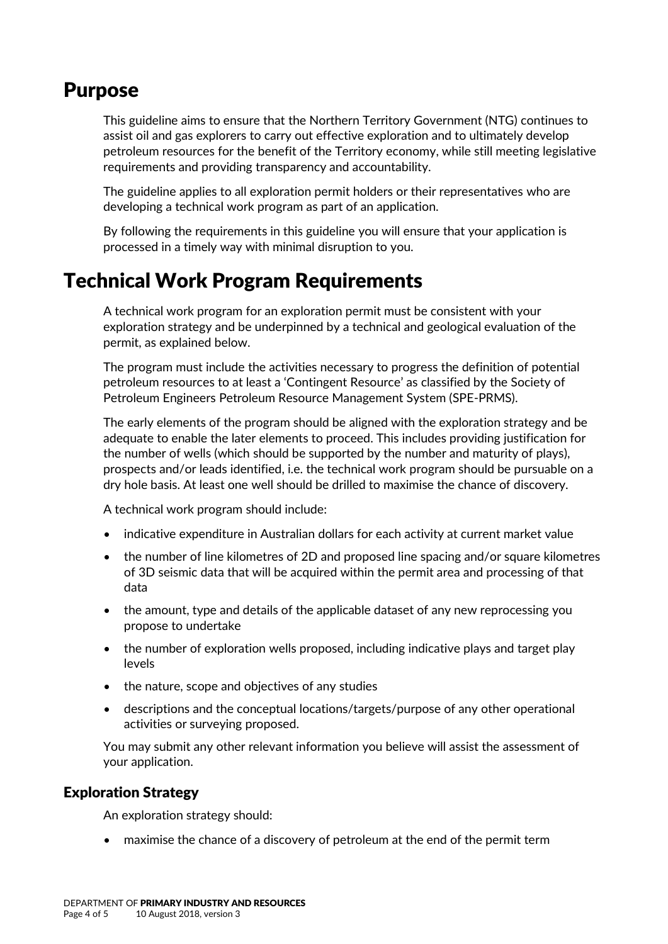### <span id="page-3-0"></span>Purpose

This guideline aims to ensure that the Northern Territory Government (NTG) continues to assist oil and gas explorers to carry out effective exploration and to ultimately develop petroleum resources for the benefit of the Territory economy, while still meeting legislative requirements and providing transparency and accountability.

The guideline applies to all exploration permit holders or their representatives who are developing a technical work program as part of an application.

By following the requirements in this guideline you will ensure that your application is processed in a timely way with minimal disruption to you.

## <span id="page-3-1"></span>Technical Work Program Requirements

A technical work program for an exploration permit must be consistent with your exploration strategy and be underpinned by a technical and geological evaluation of the permit, as explained below.

The program must include the activities necessary to progress the definition of potential petroleum resources to at least a 'Contingent Resource' as classified by the Society of Petroleum Engineers Petroleum Resource Management System (SPE-PRMS).

The early elements of the program should be aligned with the exploration strategy and be adequate to enable the later elements to proceed. This includes providing justification for the number of wells (which should be supported by the number and maturity of plays), prospects and/or leads identified, i.e. the technical work program should be pursuable on a dry hole basis. At least one well should be drilled to maximise the chance of discovery.

A technical work program should include:

- indicative expenditure in Australian dollars for each activity at current market value
- the number of line kilometres of 2D and proposed line spacing and/or square kilometres of 3D seismic data that will be acquired within the permit area and processing of that data
- the amount, type and details of the applicable dataset of any new reprocessing you propose to undertake
- the number of exploration wells proposed, including indicative plays and target play levels
- the nature, scope and objectives of any studies
- descriptions and the conceptual locations/targets/purpose of any other operational activities or surveying proposed.

You may submit any other relevant information you believe will assist the assessment of your application.

#### <span id="page-3-2"></span>Exploration Strategy

An exploration strategy should:

maximise the chance of a discovery of petroleum at the end of the permit term